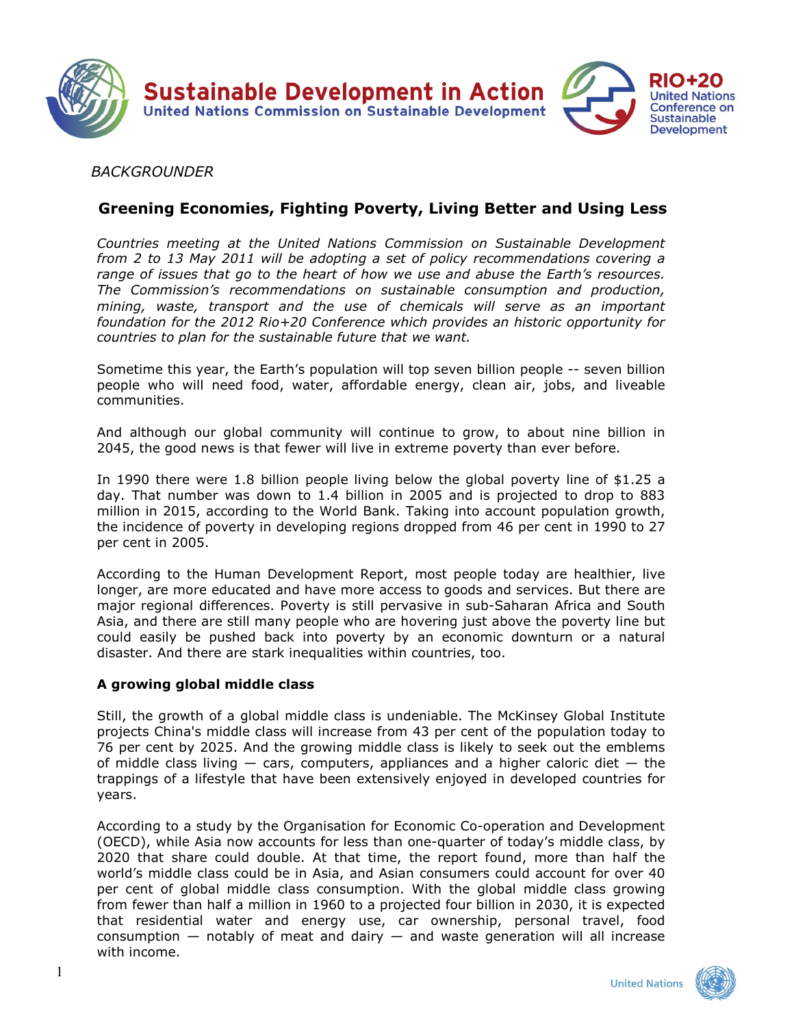

## *BACKGROUNDER*

# **Greening Economies, Fighting Poverty, Living Better and Using Less**

*Countries meeting at the United Nations Commission on Sustainable Development from 2 to 13 May 2011 will be adopting a set of policy recommendations covering a range of issues that go to the heart of how we use and abuse the Earth's resources. The Commission's recommendations on sustainable consumption and production, mining, waste, transport and the use of chemicals will serve as an important foundation for the 2012 Rio+20 Conference which provides an historic opportunity for countries to plan for the sustainable future that we want.* 

Sometime this year, the Earth's population will top seven billion people -- seven billion people who will need food, water, affordable energy, clean air, jobs, and liveable communities.

And although our global community will continue to grow, to about nine billion in 2045, the good news is that fewer will live in extreme poverty than ever before.

In 1990 there were 1.8 billion people living below the global poverty line of \$1.25 a day. That number was down to 1.4 billion in 2005 and is projected to drop to 883 million in 2015, according to the World Bank. Taking into account population growth, the incidence of poverty in developing regions dropped from 46 per cent in 1990 to 27 per cent in 2005.

According to the Human Development Report, most people today are healthier, live longer, are more educated and have more access to goods and services. But there are major regional differences. Poverty is still pervasive in sub-Saharan Africa and South Asia, and there are still many people who are hovering just above the poverty line but could easily be pushed back into poverty by an economic downturn or a natural disaster. And there are stark inequalities within countries, too.

## **A growing global middle class**

Still, the growth of a global middle class is undeniable. The McKinsey Global Institute projects China's middle class will increase from 43 per cent of the population today to 76 per cent by 2025. And the growing middle class is likely to seek out the emblems of middle class living  $-$  cars, computers, appliances and a higher caloric diet  $-$  the trappings of a lifestyle that have been extensively enjoyed in developed countries for years.

According to a study by the Organisation for Economic Co-operation and Development (OECD), while Asia now accounts for less than one-quarter of today's middle class, by 2020 that share could double. At that time, the report found, more than half the world's middle class could be in Asia, and Asian consumers could account for over 40 per cent of global middle class consumption. With the global middle class growing from fewer than half a million in 1960 to a projected four billion in 2030, it is expected that residential water and energy use, car ownership, personal travel, food consumption  $-$  notably of meat and dairy  $-$  and waste generation will all increase with income.

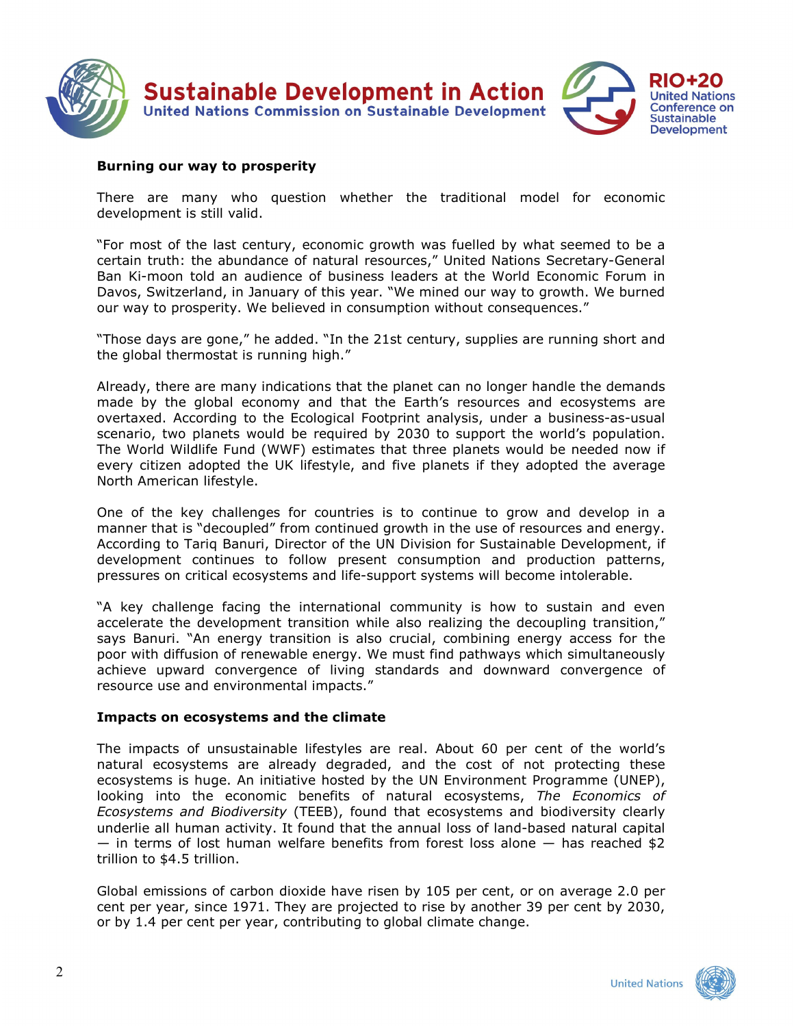

#### **Burning our way to prosperity**

There are many who question whether the traditional model for economic development is still valid.

"For most of the last century, economic growth was fuelled by what seemed to be a certain truth: the abundance of natural resources," United Nations Secretary-General Ban Ki-moon told an audience of business leaders at the World Economic Forum in Davos, Switzerland, in January of this year. "We mined our way to growth. We burned our way to prosperity. We believed in consumption without consequences."

"Those days are gone," he added. "In the 21st century, supplies are running short and the global thermostat is running high."

Already, there are many indications that the planet can no longer handle the demands made by the global economy and that the Earth's resources and ecosystems are overtaxed. According to the Ecological Footprint analysis, under a business-as-usual scenario, two planets would be required by 2030 to support the world's population. The World Wildlife Fund (WWF) estimates that three planets would be needed now if every citizen adopted the UK lifestyle, and five planets if they adopted the average North American lifestyle.

One of the key challenges for countries is to continue to grow and develop in a manner that is "decoupled" from continued growth in the use of resources and energy. According to Tariq Banuri, Director of the UN Division for Sustainable Development, if development continues to follow present consumption and production patterns, pressures on critical ecosystems and life-support systems will become intolerable.

"A key challenge facing the international community is how to sustain and even accelerate the development transition while also realizing the decoupling transition," says Banuri. "An energy transition is also crucial, combining energy access for the poor with diffusion of renewable energy. We must find pathways which simultaneously achieve upward convergence of living standards and downward convergence of resource use and environmental impacts."

#### **Impacts on ecosystems and the climate**

The impacts of unsustainable lifestyles are real. About 60 per cent of the world's natural ecosystems are already degraded, and the cost of not protecting these ecosystems is huge. An initiative hosted by the UN Environment Programme (UNEP), looking into the economic benefits of natural ecosystems, *The Economics of Ecosystems and Biodiversity* (TEEB), found that ecosystems and biodiversity clearly underlie all human activity. It found that the annual loss of land-based natural capital  $-$  in terms of lost human welfare benefits from forest loss alone  $-$  has reached \$2 trillion to \$4.5 trillion.

Global emissions of carbon dioxide have risen by 105 per cent, or on average 2.0 per cent per year, since 1971. They are projected to rise by another 39 per cent by 2030, or by 1.4 per cent per year, contributing to global climate change.

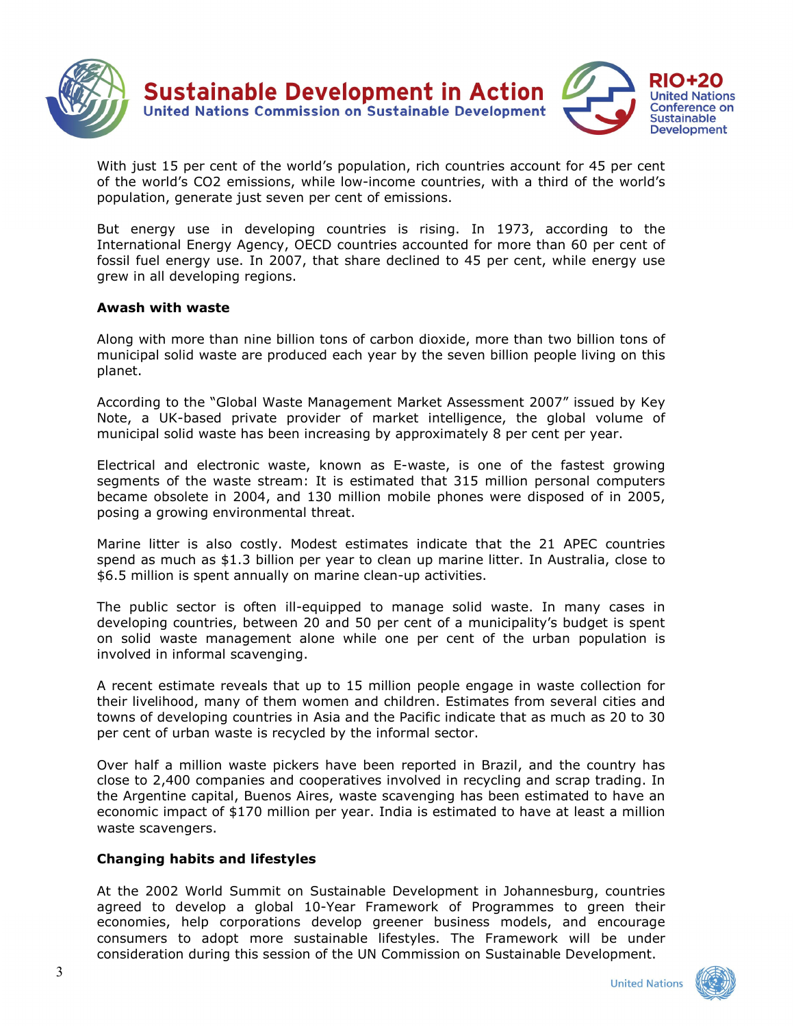

With just 15 per cent of the world's population, rich countries account for 45 per cent of the world's CO2 emissions, while low-income countries, with a third of the world's population, generate just seven per cent of emissions.

But energy use in developing countries is rising. In 1973, according to the International Energy Agency, OECD countries accounted for more than 60 per cent of fossil fuel energy use. In 2007, that share declined to 45 per cent, while energy use grew in all developing regions.

#### **Awash with waste**

Along with more than nine billion tons of carbon dioxide, more than two billion tons of municipal solid waste are produced each year by the seven billion people living on this planet.

According to the "Global Waste Management Market Assessment 2007" issued by Key Note, a UK-based private provider of market intelligence, the global volume of municipal solid waste has been increasing by approximately 8 per cent per year.

Electrical and electronic waste, known as E-waste, is one of the fastest growing segments of the waste stream: It is estimated that 315 million personal computers became obsolete in 2004, and 130 million mobile phones were disposed of in 2005, posing a growing environmental threat.

Marine litter is also costly. Modest estimates indicate that the 21 APEC countries spend as much as \$1.3 billion per year to clean up marine litter. In Australia, close to \$6.5 million is spent annually on marine clean-up activities.

The public sector is often ill-equipped to manage solid waste. In many cases in developing countries, between 20 and 50 per cent of a municipality's budget is spent on solid waste management alone while one per cent of the urban population is involved in informal scavenging.

A recent estimate reveals that up to 15 million people engage in waste collection for their livelihood, many of them women and children. Estimates from several cities and towns of developing countries in Asia and the Pacific indicate that as much as 20 to 30 per cent of urban waste is recycled by the informal sector.

Over half a million waste pickers have been reported in Brazil, and the country has close to 2,400 companies and cooperatives involved in recycling and scrap trading. In the Argentine capital, Buenos Aires, waste scavenging has been estimated to have an economic impact of \$170 million per year. India is estimated to have at least a million waste scavengers.

### **Changing habits and lifestyles**

At the 2002 World Summit on Sustainable Development in Johannesburg, countries agreed to develop a global 10-Year Framework of Programmes to green their economies, help corporations develop greener business models, and encourage consumers to adopt more sustainable lifestyles. The Framework will be under consideration during this session of the UN Commission on Sustainable Development.